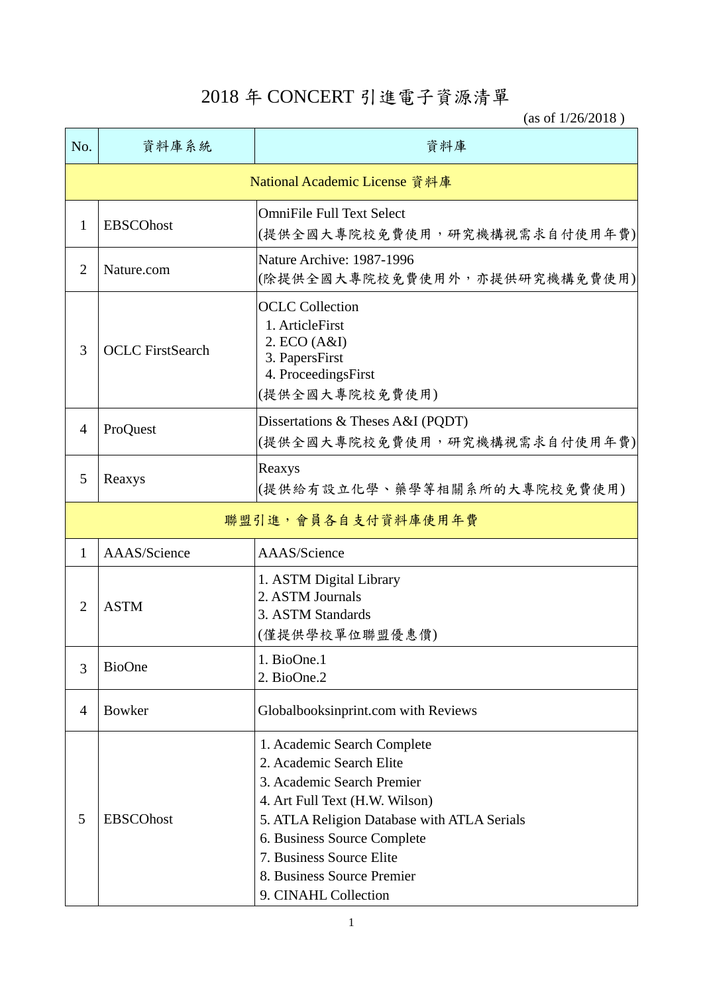## 2018 年 CONCERT 引進電子資源清單

(as of 1/26/2018 )

| No.                           | 資料庫系統                   | 資料庫                                                                                                                                                                                                                                                                                     |  |  |
|-------------------------------|-------------------------|-----------------------------------------------------------------------------------------------------------------------------------------------------------------------------------------------------------------------------------------------------------------------------------------|--|--|
| National Academic License 資料庫 |                         |                                                                                                                                                                                                                                                                                         |  |  |
| 1                             | <b>EBSCOhost</b>        | <b>OmniFile Full Text Select</b><br>(提供全國大專院校免費使用,研究機構視需求自付使用年費)                                                                                                                                                                                                                        |  |  |
| $\overline{2}$                | Nature.com              | Nature Archive: 1987-1996<br>(除提供全國大專院校免費使用外,亦提供研究機構免費使用)                                                                                                                                                                                                                               |  |  |
| 3                             | <b>OCLC</b> FirstSearch | <b>OCLC</b> Collection<br>1. ArticleFirst<br>2. ECO (A&I)<br>3. PapersFirst<br>4. ProceedingsFirst<br>(提供全國大專院校免費使用)                                                                                                                                                                    |  |  |
| $\overline{4}$                | ProQuest                | Dissertations & Theses A&I (PQDT)<br>(提供全國大專院校免費使用,研究機構視需求自付使用年費)                                                                                                                                                                                                                       |  |  |
| 5                             | Reaxys                  | Reaxys<br>(提供給有設立化學、藥學等相關系所的大專院校免費使用)                                                                                                                                                                                                                                                   |  |  |
| 聯盟引進,會員各自支付資料庫使用年費            |                         |                                                                                                                                                                                                                                                                                         |  |  |
| 1                             | AAAS/Science            | AAAS/Science                                                                                                                                                                                                                                                                            |  |  |
| $\overline{2}$                | <b>ASTM</b>             | 1. ASTM Digital Library<br>2. ASTM Journals<br>3. ASTM Standards<br>(僅提供學校單位聯盟優惠價)                                                                                                                                                                                                      |  |  |
| 3                             | <b>BioOne</b>           | 1. BioOne.1<br>2. BioOne.2                                                                                                                                                                                                                                                              |  |  |
| $\overline{4}$                | Bowker                  | Globalbooksinprint.com with Reviews                                                                                                                                                                                                                                                     |  |  |
| 5                             | <b>EBSCOhost</b>        | 1. Academic Search Complete<br>2. Academic Search Elite<br>3. Academic Search Premier<br>4. Art Full Text (H.W. Wilson)<br>5. ATLA Religion Database with ATLA Serials<br>6. Business Source Complete<br>7. Business Source Elite<br>8. Business Source Premier<br>9. CINAHL Collection |  |  |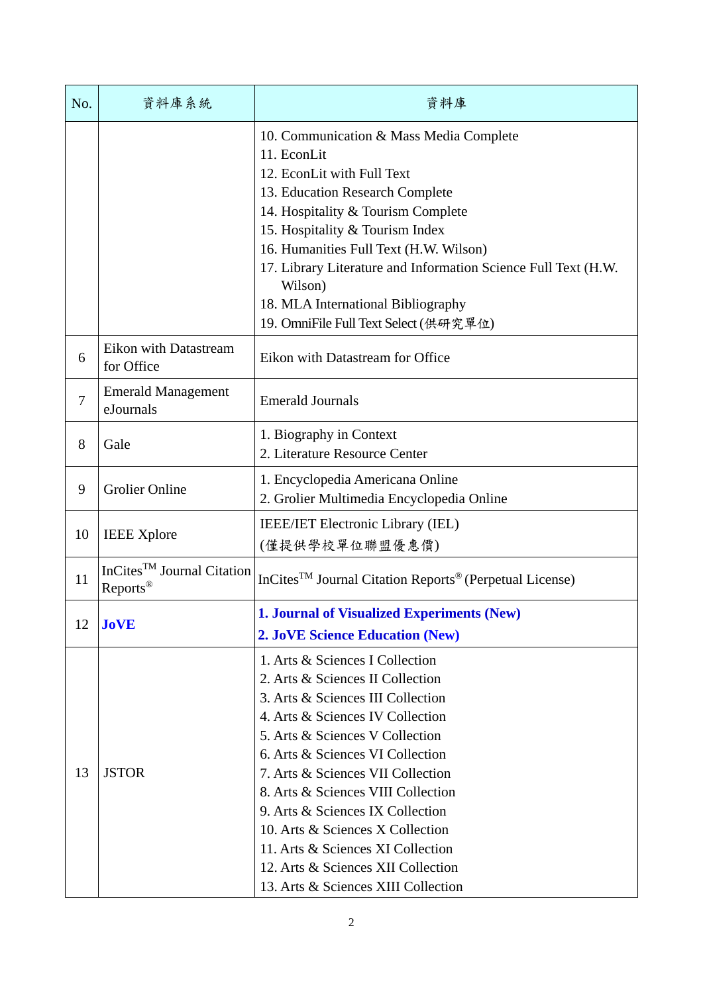| No. | 資料庫系統                                                          | 資料庫                                                                                                                                                                                                                                                                                                                                                                                                                                                                                      |
|-----|----------------------------------------------------------------|------------------------------------------------------------------------------------------------------------------------------------------------------------------------------------------------------------------------------------------------------------------------------------------------------------------------------------------------------------------------------------------------------------------------------------------------------------------------------------------|
|     |                                                                | 10. Communication & Mass Media Complete<br>11. EconLit<br>12. EconLit with Full Text<br>13. Education Research Complete<br>14. Hospitality & Tourism Complete<br>15. Hospitality & Tourism Index<br>16. Humanities Full Text (H.W. Wilson)<br>17. Library Literature and Information Science Full Text (H.W.<br>Wilson)<br>18. MLA International Bibliography<br>19. OmniFile Full Text Select (供研究單位)                                                                                   |
| 6   | Eikon with Datastream<br>for Office                            | Eikon with Datastream for Office                                                                                                                                                                                                                                                                                                                                                                                                                                                         |
| 7   | <b>Emerald Management</b><br>eJournals                         | <b>Emerald Journals</b>                                                                                                                                                                                                                                                                                                                                                                                                                                                                  |
| 8   | Gale                                                           | 1. Biography in Context<br>2. Literature Resource Center                                                                                                                                                                                                                                                                                                                                                                                                                                 |
| 9   | <b>Grolier Online</b>                                          | 1. Encyclopedia Americana Online<br>2. Grolier Multimedia Encyclopedia Online                                                                                                                                                                                                                                                                                                                                                                                                            |
| 10  | <b>IEEE</b> Xplore                                             | <b>IEEE/IET Electronic Library (IEL)</b><br>(僅提供學校單位聯盟優惠價)                                                                                                                                                                                                                                                                                                                                                                                                                               |
| 11  | InCites <sup>TM</sup> Journal Citation<br>Reports <sup>®</sup> | InCites <sup>TM</sup> Journal Citation Reports <sup>®</sup> (Perpetual License)                                                                                                                                                                                                                                                                                                                                                                                                          |
| 12  | <b>JoVE</b>                                                    | <b>1. Journal of Visualized Experiments (New)</b><br><b>2. JoVE Science Education (New)</b>                                                                                                                                                                                                                                                                                                                                                                                              |
| 13  | <b>JSTOR</b>                                                   | 1. Arts & Sciences I Collection<br>2. Arts & Sciences II Collection<br>3. Arts & Sciences III Collection<br>4. Arts & Sciences IV Collection<br>5. Arts & Sciences V Collection<br>6. Arts & Sciences VI Collection<br>7. Arts & Sciences VII Collection<br>8. Arts & Sciences VIII Collection<br>9. Arts & Sciences IX Collection<br>10. Arts & Sciences X Collection<br>11. Arts & Sciences XI Collection<br>12. Arts & Sciences XII Collection<br>13. Arts & Sciences XIII Collection |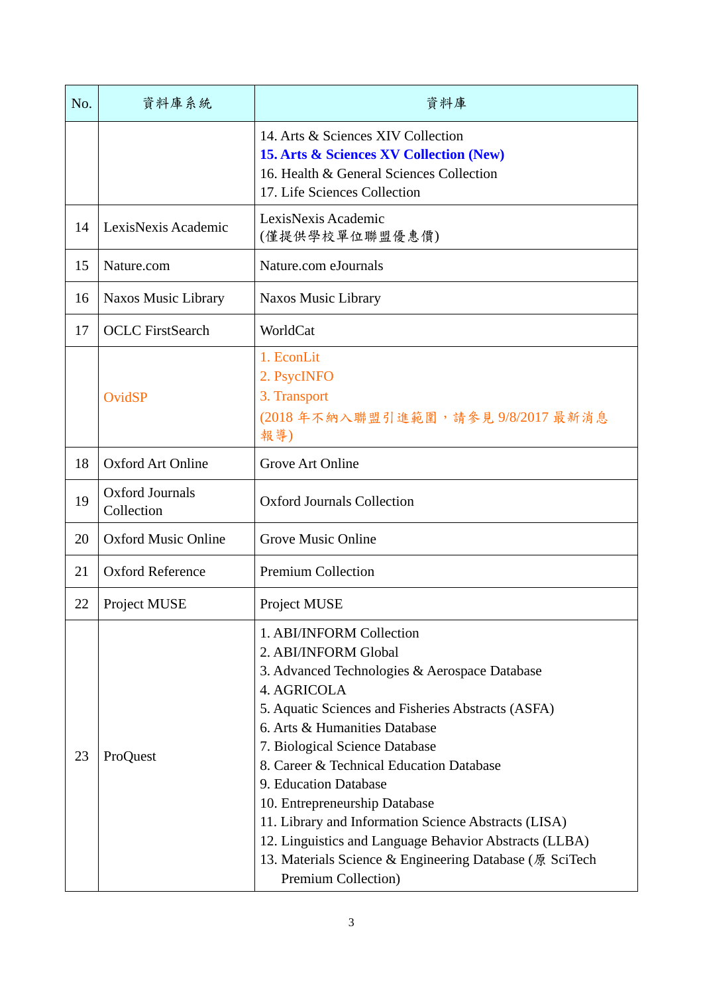| No. | 資料庫系統                                | 資料庫                                                                                                                                                                                                                                                                                                                                                                                                                                                                                                                                                 |
|-----|--------------------------------------|-----------------------------------------------------------------------------------------------------------------------------------------------------------------------------------------------------------------------------------------------------------------------------------------------------------------------------------------------------------------------------------------------------------------------------------------------------------------------------------------------------------------------------------------------------|
|     |                                      | 14. Arts & Sciences XIV Collection<br><b>15. Arts &amp; Sciences XV Collection (New)</b><br>16. Health & General Sciences Collection<br>17. Life Sciences Collection                                                                                                                                                                                                                                                                                                                                                                                |
| 14  | LexisNexis Academic                  | LexisNexis Academic<br>(僅提供學校單位聯盟優惠價)                                                                                                                                                                                                                                                                                                                                                                                                                                                                                                               |
| 15  | Nature.com                           | Nature.com eJournals                                                                                                                                                                                                                                                                                                                                                                                                                                                                                                                                |
| 16  | Naxos Music Library                  | Naxos Music Library                                                                                                                                                                                                                                                                                                                                                                                                                                                                                                                                 |
| 17  | <b>OCLC</b> FirstSearch              | WorldCat                                                                                                                                                                                                                                                                                                                                                                                                                                                                                                                                            |
|     | OvidSP                               | 1. EconLit<br>2. PsycINFO<br>3. Transport<br>(2018年不納入聯盟引進範圍,請參見9/8/2017最新消息<br>報導)                                                                                                                                                                                                                                                                                                                                                                                                                                                                 |
| 18  | <b>Oxford Art Online</b>             | Grove Art Online                                                                                                                                                                                                                                                                                                                                                                                                                                                                                                                                    |
| 19  | <b>Oxford Journals</b><br>Collection | <b>Oxford Journals Collection</b>                                                                                                                                                                                                                                                                                                                                                                                                                                                                                                                   |
| 20  | <b>Oxford Music Online</b>           | Grove Music Online                                                                                                                                                                                                                                                                                                                                                                                                                                                                                                                                  |
| 21  | <b>Oxford Reference</b>              | <b>Premium Collection</b>                                                                                                                                                                                                                                                                                                                                                                                                                                                                                                                           |
| 22  | Project MUSE                         | Project MUSE                                                                                                                                                                                                                                                                                                                                                                                                                                                                                                                                        |
| 23  | ProQuest                             | 1. ABI/INFORM Collection<br>2. ABI/INFORM Global<br>3. Advanced Technologies & Aerospace Database<br>4. AGRICOLA<br>5. Aquatic Sciences and Fisheries Abstracts (ASFA)<br>6. Arts & Humanities Database<br>7. Biological Science Database<br>8. Career & Technical Education Database<br>9. Education Database<br>10. Entrepreneurship Database<br>11. Library and Information Science Abstracts (LISA)<br>12. Linguistics and Language Behavior Abstracts (LLBA)<br>13. Materials Science & Engineering Database (原 SciTech<br>Premium Collection) |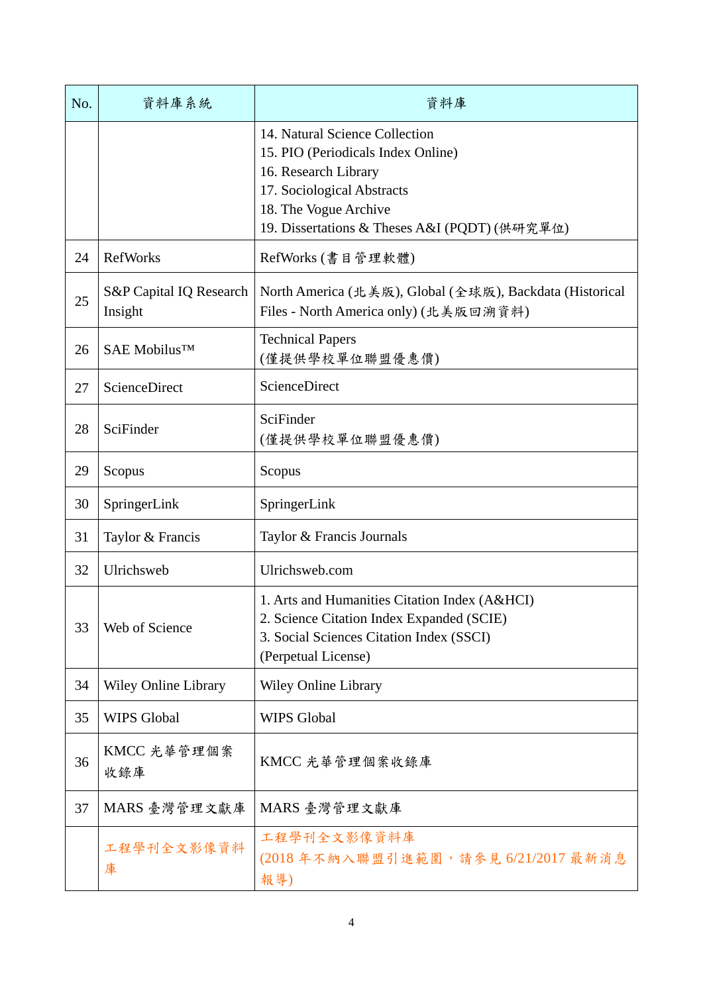| No. | 資料庫系統                              | 資料庫                                                                                                                                                                                                  |
|-----|------------------------------------|------------------------------------------------------------------------------------------------------------------------------------------------------------------------------------------------------|
|     |                                    | 14. Natural Science Collection<br>15. PIO (Periodicals Index Online)<br>16. Research Library<br>17. Sociological Abstracts<br>18. The Vogue Archive<br>19. Dissertations & Theses A&I (PQDT) (供研究單位) |
| 24  | <b>RefWorks</b>                    | RefWorks (書目管理軟體)                                                                                                                                                                                    |
| 25  | S&P Capital IQ Research<br>Insight | North America (北美版), Global (全球版), Backdata (Historical<br>Files - North America only) (北美版回溯資料)                                                                                                     |
| 26  | SAE Mobilus <sup>™</sup>           | <b>Technical Papers</b><br>(僅提供學校單位聯盟優惠價)                                                                                                                                                            |
| 27  | ScienceDirect                      | ScienceDirect                                                                                                                                                                                        |
| 28  | SciFinder                          | SciFinder<br>(僅提供學校單位聯盟優惠價)                                                                                                                                                                          |
| 29  | Scopus                             | Scopus                                                                                                                                                                                               |
| 30  | SpringerLink                       | SpringerLink                                                                                                                                                                                         |
| 31  | Taylor & Francis                   | Taylor & Francis Journals                                                                                                                                                                            |
| 32  | Ulrichsweb                         | Ulrichsweb.com                                                                                                                                                                                       |
| 33  | Web of Science                     | 1. Arts and Humanities Citation Index (A&HCI)<br>2. Science Citation Index Expanded (SCIE)<br>3. Social Sciences Citation Index (SSCI)<br>(Perpetual License)                                        |
| 34  | <b>Wiley Online Library</b>        | Wiley Online Library                                                                                                                                                                                 |
| 35  | <b>WIPS Global</b>                 | <b>WIPS Global</b>                                                                                                                                                                                   |
| 36  | KMCC 光華管理個案<br>收錄庫                 | KMCC 光華管理個案收錄庫                                                                                                                                                                                       |
| 37  | MARS 臺灣管理文獻庫                       | MARS 臺灣管理文獻庫                                                                                                                                                                                         |
|     | 工程學刊全文影像資料<br>庫                    | 工程學刊全文影像資料庫<br>(2018年不納入聯盟引進範圍,請參見6/21/2017最新消息<br>報導)                                                                                                                                               |